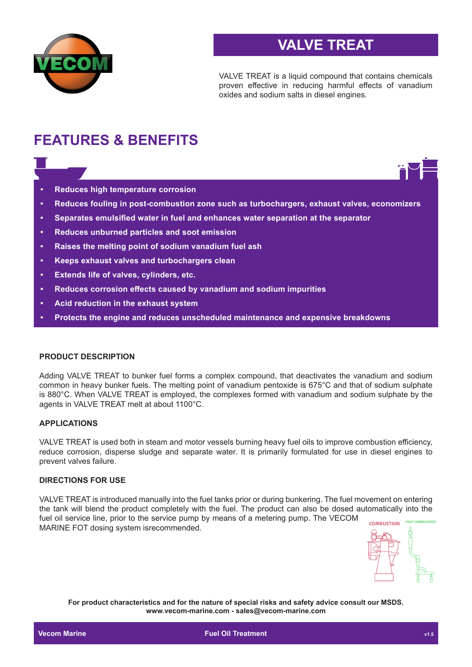

## **VALVE TREAT**

VALVE TREAT is a liquid compound that contains chemicals proven effective in reducing harmful effects of vanadium oxides and sodium salts in diesel engines.

# **FEATURES & BENEFITS**

- **• Reduces high temperature corrosion**
- **• Reduces fouling in post-combustion zone such as turbochargers, exhaust valves, economizers**
- **• Separates emulsified water in fuel and enhances water separation at the separator**
- **• Reduces unburned particles and soot emission**
- **• Raises the melting point of sodium vanadium fuel ash**
- **• Keeps exhaust valves and turbochargers clean**
- **• Extends life of valves, cylinders, etc.**
- **• Reduces corrosion effects caused by vanadium and sodium impurities**
- **• Acid reduction in the exhaust system**
- **• Protects the engine and reduces unscheduled maintenance and expensive breakdowns**

#### **PRODUCT DESCRIPTION**

Adding VALVE TREAT to bunker fuel forms a complex compound, that deactivates the vanadium and sodium common in heavy bunker fuels. The melting point of vanadium pentoxide is 675°C and that of sodium sulphate is 880°C. When VALVE TREAT is employed, the complexes formed with vanadium and sodium sulphate by the agents in VALVE TREAT melt at about 1100°C.

#### **APPLICATIONS**

VALVE TREAT is used both in steam and motor vessels burning heavy fuel oils to improve combustion efficiency, reduce corrosion, disperse sludge and separate water. It is primarily formulated for use in diesel engines to prevent valves failure.

#### **DIRECTIONS FOR USE**

VALVE TREAT is introduced manually into the fuel tanks prior or during bunkering. The fuel movement on entering the tank will blend the product completely with the fuel. The product can also be dosed automatically into the fuel oil service line, prior to the service pump by means of a metering pump. The VECOM **POST COMBUSTION COMBUSTION** MARINE FOT dosing system isrecommended.



**For product characteristics and for the nature of special risks and safety advice consult our MSDS. www.vecom-marine.com - sales@vecom-marine.com**

**Communist Communist Communist Communist Communist Communist Communist Communist Communist Communist Communist Communist Communist Communist Communist Communist Communist Communist Communist Communist Communist Communist C**